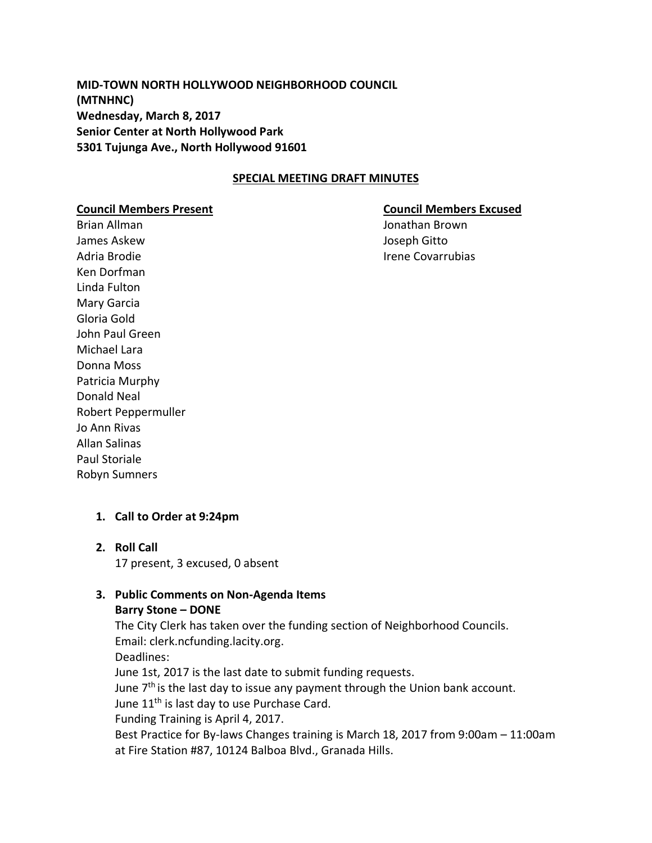**MID-TOWN NORTH HOLLYWOOD NEIGHBORHOOD COUNCIL (MTNHNC) Wednesday, March 8, 2017 Senior Center at North Hollywood Park 5301 Tujunga Ave., North Hollywood 91601**

#### **SPECIAL MEETING DRAFT MINUTES**

Brian Allman Jonathan Brown Jonathan Brown James Askew Joseph Gitto Adria Brodie Irene Covarrubias Ken Dorfman Linda Fulton Mary Garcia Gloria Gold John Paul Green Michael Lara Donna Moss Patricia Murphy Donald Neal Robert Peppermuller Jo Ann Rivas Allan Salinas Paul Storiale Robyn Sumners

**Council Members Present Council Members Excused**

### **1. Call to Order at 9:24pm**

**2. Roll Call** 

17 present, 3 excused, 0 absent

#### **3. Public Comments on Non-Agenda Items Barry Stone – DONE**

The City Clerk has taken over the funding section of Neighborhood Councils. Email: clerk.ncfunding.lacity.org. Deadlines:

June 1st, 2017 is the last date to submit funding requests. June  $7<sup>th</sup>$  is the last day to issue any payment through the Union bank account. June 11<sup>th</sup> is last day to use Purchase Card. Funding Training is April 4, 2017. Best Practice for By-laws Changes training is March 18, 2017 from 9:00am – 11:00am at Fire Station #87, 10124 Balboa Blvd., Granada Hills.